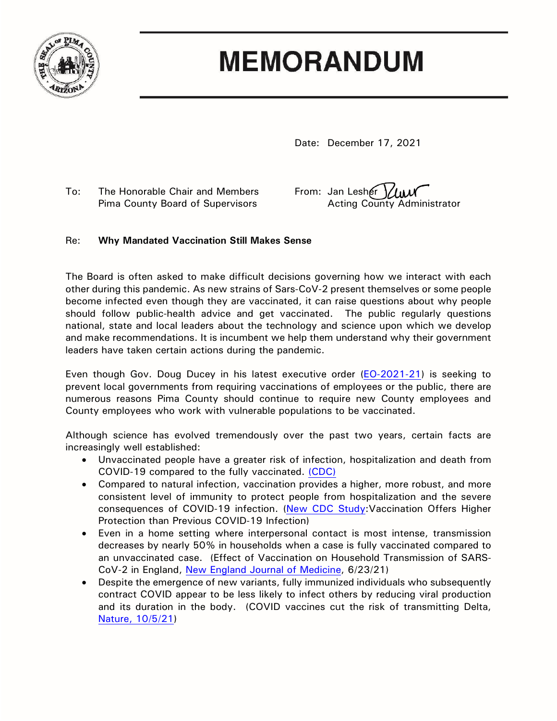

## **MEMORANDUM**

Date: December 17, 2021

To: The Honorable Chair and Members From: Jan Lesher  $\frac{1}{4}$ 

Pima County Board of Supervisors **Acting County Administrator** 

## Re: **Why Mandated Vaccination Still Makes Sense**

The Board is often asked to make difficult decisions governing how we interact with each other during this pandemic. As new strains of Sars-CoV-2 present themselves or some people become infected even though they are vaccinated, it can raise questions about why people should follow public-health advice and get vaccinated. The public regularly questions national, state and local leaders about the technology and science upon which we develop and make recommendations. It is incumbent we help them understand why their government leaders have taken certain actions during the pandemic.

Even though Gov. Doug Ducey in his latest executive order [\(EO-2021-21\)](file://Central.pima.gov/CentralFS/CA/_Shared%20Data/Scans/eo_2021-21%20(4).pdf) is seeking to prevent local governments from requiring vaccinations of employees or the public, there are numerous reasons Pima County should continue to require new County employees and County employees who work with vulnerable populations to be vaccinated.

Although science has evolved tremendously over the past two years, certain facts are increasingly well established:

- Unvaccinated people have a greater risk of infection, hospitalization and death from COVID-19 compared to the fully vaccinated. [\(CDC\)](https://covid.cdc.gov/covid-data-tracker/#rates-by-vaccine-status)
- Compared to natural infection, vaccination provides a higher, more robust, and more consistent level of immunity to protect people from hospitalization and the severe consequences of COVID-19 infection. [\(New CDC Study:](https://www.cdc.gov/media/releases/2021/s1029-Vaccination-Offers-Higher-Protection.html)Vaccination Offers Higher Protection than Previous COVID-19 Infection)
- Even in a home setting where interpersonal contact is most intense, transmission decreases by nearly 50% in households when a case is fully vaccinated compared to an unvaccinated case. (Effect of Vaccination on Household Transmission of SARS-CoV-2 in England, [New England Journal of Medicine,](https://www.ncbi.nlm.nih.gov/pmc/articles/PMC8262621/) 6/23/21)
- Despite the emergence of new variants, fully immunized individuals who subsequently contract COVID appear to be less likely to infect others by reducing viral production and its duration in the body. (COVID vaccines cut the risk of transmitting Delta, [Nature, 10/5/21\)](https://www.nature.com/articles/d41586-021-02689-y)